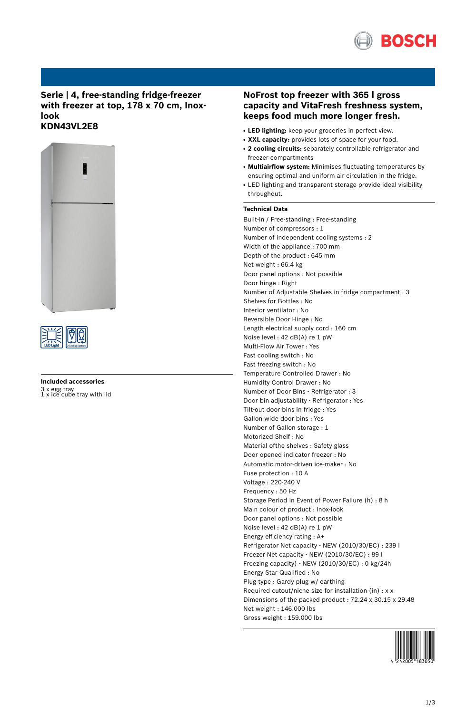

# **Serie | 4, free-standing fridge-freezer with freezer at top, 178 x 70 cm, Inoxlook KDN43VL2E8**





# **Included accessories** 3 x egg tray 1 x ice cube tray with lid

# **NoFrost top freezer with 365 l gross capacity and VitaFresh freshness system, keeps food much more longer fresh.**

- **LED lighting:** keep your groceries in perfect view.
- **XXL capacity:** provides lots of space for your food.
- **2 cooling circuits:** separately controllable refrigerator and freezer compartments
- **Multiairflow system:** Minimises fluctuating temperatures by ensuring optimal and uniform air circulation in the fridge.
- LED lighting and transparent storage provide ideal visibility throughout.

# **Technical Data**

Built-in / Free-standing : Free-standing Number of compressors : 1 Number of independent cooling systems : 2 Width of the appliance : 700 mm Depth of the product : 645 mm Net weight : 66.4 kg Door panel options : Not possible Door hinge : Right Number of Adjustable Shelves in fridge compartment : 3 Shelves for Bottles : No Interior ventilator : No Reversible Door Hinge : No Length electrical supply cord : 160 cm Noise level : 42 dB(A) re 1 pW Multi-Flow Air Tower : Yes Fast cooling switch : No Fast freezing switch : No Temperature Controlled Drawer : No Humidity Control Drawer : No Number of Door Bins - Refrigerator : 3 Door bin adjustability - Refrigerator : Yes Tilt-out door bins in fridge : Yes Gallon wide door bins : Yes Number of Gallon storage : 1 Motorized Shelf : No Material ofthe shelves : Safety glass Door opened indicator freezer : No Automatic motor-driven ice-maker : No Fuse protection : 10 A Voltage : 220-240 V Frequency : 50 Hz Storage Period in Event of Power Failure (h) : 8 h Main colour of product : Inox-look Door panel options : Not possible Noise level : 42 dB(A) re 1 pW Energy efficiency rating : A+ Refrigerator Net capacity - NEW (2010/30/EC) : 239 l Freezer Net capacity - NEW (2010/30/EC) : 89 l Freezing capacity) - NEW (2010/30/EC) : 0 kg/24h Energy Star Qualified : No Plug type : Gardy plug w/ earthing Required cutout/niche size for installation (in) : x x Dimensions of the packed product : 72.24 x 30.15 x 29.48 Net weight : 146.000 lbs Gross weight : 159.000 lbs

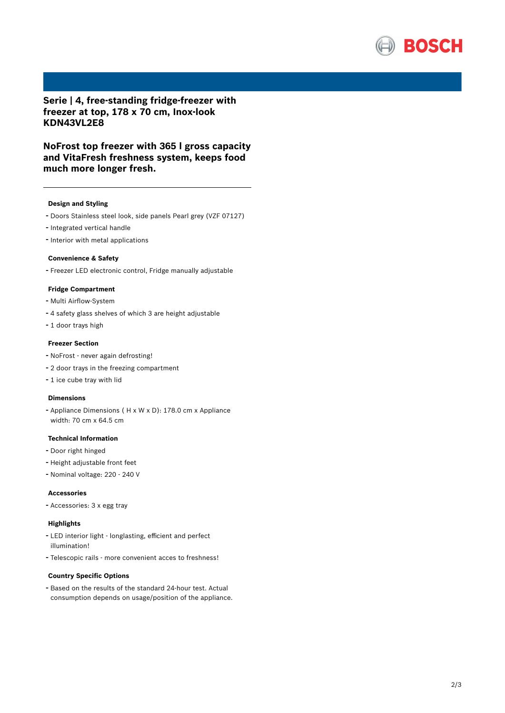

**Serie | 4, free-standing fridge-freezer with freezer at top, 178 x 70 cm, Inox-look KDN43VL2E8**

**NoFrost top freezer with 365 l gross capacity and VitaFresh freshness system, keeps food much more longer fresh.**

## **Design and Styling**

- Doors Stainless steel look, side panels Pearl grey (VZF 07127)
- Integrated vertical handle
- Interior with metal applications

#### **Convenience & Safety**

- Freezer LED electronic control, Fridge manually adjustable

# **Fridge Compartment**

- Multi Airflow-System
- <sup>4</sup> safety glass shelves of which <sup>3</sup> are height adjustable
- <sup>1</sup> door trays high

### **Freezer Section**

- NoFrost never again defrosting!
- <sup>2</sup> door trays in the freezing compartment
- <sup>1</sup> ice cube tray with lid

#### **Dimensions**

- Appliance Dimensions ( H x W x D): 178.0 cm x Appliance width: 70 cm x 64.5 cm

# **Technical Information**

- Door right hinged
- Height adjustable front feet
- Nominal voltage: <sup>220</sup> <sup>240</sup> <sup>V</sup>

#### **Accessories**

- Accessories: <sup>3</sup> <sup>x</sup> egg tray

# **Highlights**

- LED interior light longlasting, efficient and perfect illumination!
- Telescopic rails more convenient acces to freshness!

### **Country Specific Options**

- Based on the results of the standard 24-hour test. Actual consumption depends on usage/position of the appliance.